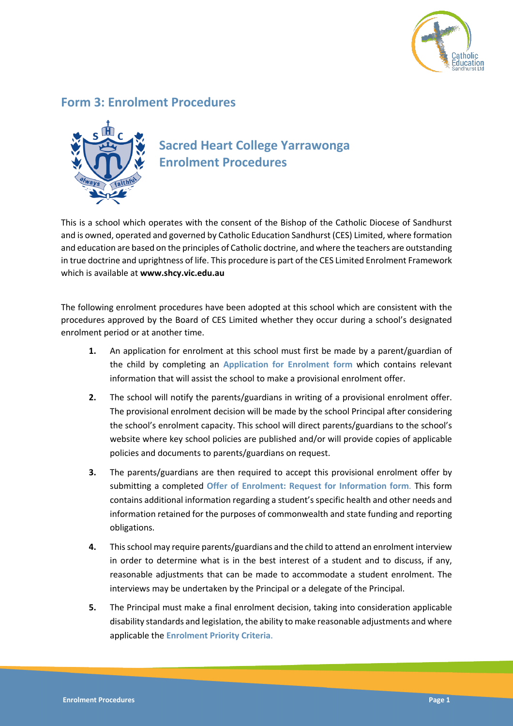

## **Form 3: Enrolment Procedures**



## **Sacred Heart College Yarrawonga Enrolment Procedures**

This is a school which operates with the consent of the Bishop of the Catholic Diocese of Sandhurst and is owned, operated and governed by Catholic Education Sandhurst (CES) Limited, where formation and education are based on the principles of Catholic doctrine, and where the teachers are outstanding in true doctrine and uprightness of life. This procedure is part of the CES Limited Enrolment Framework which is available at **www.shcy.vic.edu.au**

The following enrolment procedures have been adopted at this school which are consistent with the procedures approved by the Board of CES Limited whether they occur during a school's designated enrolment period or at another time.

- **1.** An application for enrolment at this school must first be made by a parent/guardian of the child by completing an **Application for Enrolment form** which contains relevant information that will assist the school to make a provisional enrolment offer.
- **2.** The school will notify the parents/guardians in writing of a provisional enrolment offer. The provisional enrolment decision will be made by the school Principal after considering the school's enrolment capacity. This school will direct parents/guardians to the school's website where key school policies are published and/or will provide copies of applicable policies and documents to parents/guardians on request.
- **3.** The parents/guardians are then required to accept this provisional enrolment offer by submitting a completed **Offer of Enrolment: Request for Information form**. This form contains additional information regarding a student's specific health and other needs and information retained for the purposes of commonwealth and state funding and reporting obligations.
- **4.** This school may require parents/guardians and the child to attend an enrolment interview in order to determine what is in the best interest of a student and to discuss, if any, reasonable adjustments that can be made to accommodate a student enrolment. The interviews may be undertaken by the Principal or a delegate of the Principal.
- **5.** The Principal must make a final enrolment decision, taking into consideration applicable disability standards and legislation, the ability to make reasonable adjustments and where applicable the **Enrolment Priority Criteria**.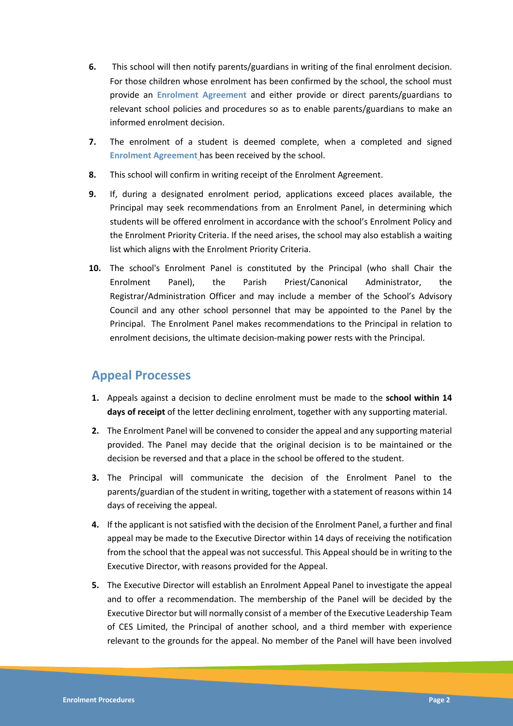- **6.** This school will then notify parents/guardians in writing of the final enrolment decision. For those children whose enrolment has been confirmed by the school, the school must provide an **Enrolment Agreement** and either provide or direct parents/guardians to relevant school policies and procedures so as to enable parents/guardians to make an informed enrolment decision.
- **7.** The enrolment of a student is deemed complete, when a completed and signed **Enrolment Agreement** has been received by the school.
- **8.** This school will confirm in writing receipt of the Enrolment Agreement.
- **9.** If, during a designated enrolment period, applications exceed places available, the Principal may seek recommendations from an Enrolment Panel, in determining which students will be offered enrolment in accordance with the school's Enrolment Policy and the Enrolment Priority Criteria. If the need arises, the school may also establish a waiting list which aligns with the Enrolment Priority Criteria.
- **10.** The school's Enrolment Panel is constituted by the Principal (who shall Chair the Enrolment Panel), the Parish Priest/Canonical Administrator, the Registrar/Administration Officer and may include a member of the School's Advisory Council and any other school personnel that may be appointed to the Panel by the Principal. The Enrolment Panel makes recommendations to the Principal in relation to enrolment decisions, the ultimate decision-making power rests with the Principal.

## **Appeal Processes**

- **1.** Appeals against a decision to decline enrolment must be made to the **school within 14 days of receipt** of the letter declining enrolment, together with any supporting material.
- **2.** The Enrolment Panel will be convened to consider the appeal and any supporting material provided. The Panel may decide that the original decision is to be maintained or the decision be reversed and that a place in the school be offered to the student.
- **3.** The Principal will communicate the decision of the Enrolment Panel to the parents/guardian of the student in writing, together with a statement of reasons within 14 days of receiving the appeal.
- **4.** If the applicant is not satisfied with the decision of the Enrolment Panel, a further and final appeal may be made to the Executive Director within 14 days of receiving the notification from the school that the appeal was not successful. This Appeal should be in writing to the Executive Director, with reasons provided for the Appeal.
- **5.** The Executive Director will establish an Enrolment Appeal Panel to investigate the appeal and to offer a recommendation. The membership of the Panel will be decided by the Executive Director but will normally consist of a member of the Executive Leadership Team of CES Limited, the Principal of another school, and a third member with experience relevant to the grounds for the appeal. No member of the Panel will have been involved